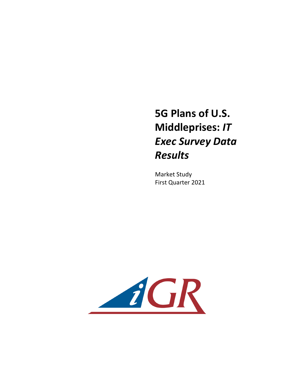## **5G Plans of U.S. Middleprises: IT** *Exec Survey Data Results*

**Market Study** First Quarter 2021

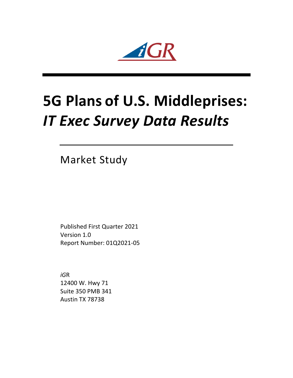$iGR$ 

## **5G Plans of U.S. Middleprises:** *IT Exec Survey Data Results*

**Market Study** 

Published First Quarter 2021 Version 1.0 Report Number: 01Q2021-05

*iG*R 12400 W. Hwy 71 Suite 350 PMB 341 Austin TX 78738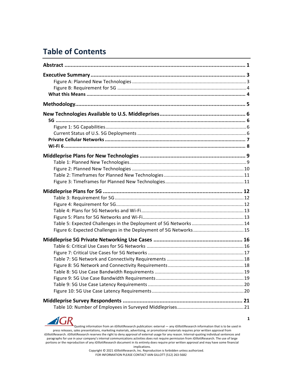## **Table of Contents**

 $\boldsymbol{d}$ (

 $\mathbf{R}$ 

Quoting information from an *iG*illottResearch publication: external — any *iGillottResearch* information that is to be used in press releases, sales presentations, marketing materials, advertising, or promotional materials requires prior written approval from *iGillottResearch. <i>iGillottResearch* reserves the right to deny approval of external usage for any reason. Internal-quoting individual sentences and paragraphs for use in your company's internal communications activities does not require permission from *iG*illottResearch. The use of large portions or the reproduction of any *iGillottResearch document* in its entirety does require prior written approval and may have some financial implications.

Copyright © 2021 *iGillottResearch, Inc. Reproduction* is forbidden unless authorized. FOR INFORMATION PLEASE CONTACT IAIN GILLOTT (512) 263-5682

**1**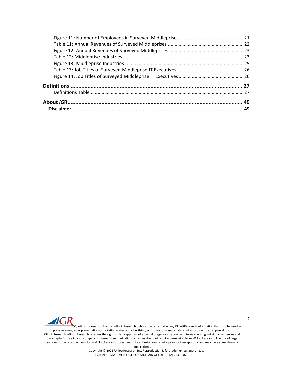

Quoting information from an *iGillottResearch publication:* external — any *iGillottResearch* information that is to be used in press releases, sales presentations, marketing materials, advertising, or promotional materials requires prior written approval from *iGillottResearch. <i>iGillottResearch* reserves the right to deny approval of external usage for any reason. Internal-quoting individual sentences and paragraphs for use in your company's internal communications activities does not require permission from *iGillottResearch*. The use of large portions or the reproduction of any *iGillottResearch document* in its entirety does require prior written approval and may have some financial implications.

Copyright © 2021 *iG*illottResearch, Inc. Reproduction is forbidden unless authorized. FOR INFORMATION PLEASE CONTACT IAIN GILLOTT (512) 263-5682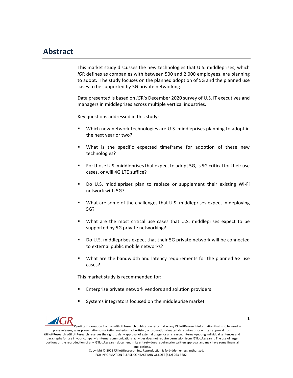## **Abstract**

This market study discusses the new technologies that U.S. middleprises, which *iGR* defines as companies with between 500 and 2,000 employees, are planning to adopt. The study focuses on the planned adoption of 5G and the planned use cases to be supported by 5G private networking.

Data presented is based on *iGR's* December 2020 survey of U.S. IT executives and managers in middleprises across multiple vertical industries.

Key questions addressed in this study:

- Which new network technologies are U.S. middleprises planning to adopt in the next year or two?
- What is the specific expected timeframe for adoption of these new technologies?
- For those U.S. middleprises that expect to adopt 5G, is 5G critical for their use cases, or will 4G LTE suffice?
- Do U.S. middleprises plan to replace or supplement their existing Wi-Fi network with 5G?
- What are some of the challenges that U.S. middleprises expect in deploying 5G?
- What are the most critical use cases that U.S. middleprises expect to be supported by 5G private networking?
- Do U.S. middleprises expect that their 5G private network will be connected to external public mobile networks?
- What are the bandwidth and latency requirements for the planned 5G use cases?

This market study is recommended for:

- Enterprise private network vendors and solution providers
- Systems integrators focused on the middleprise market



Quoting information from an *iG*illottResearch publication: external — any *iGillottResearch* information that is to be used in press releases, sales presentations, marketing materials, advertising, or promotional materials requires prior written approval from *iGillottResearch. <i>iGillottResearch* reserves the right to deny approval of external usage for any reason. Internal-quoting individual sentences and paragraphs for use in your company's internal communications activities does not require permission from *iGillottResearch*. The use of large portions or the reproduction of any *iGillottResearch document* in its entirety does require prior written approval and may have some financial implications.